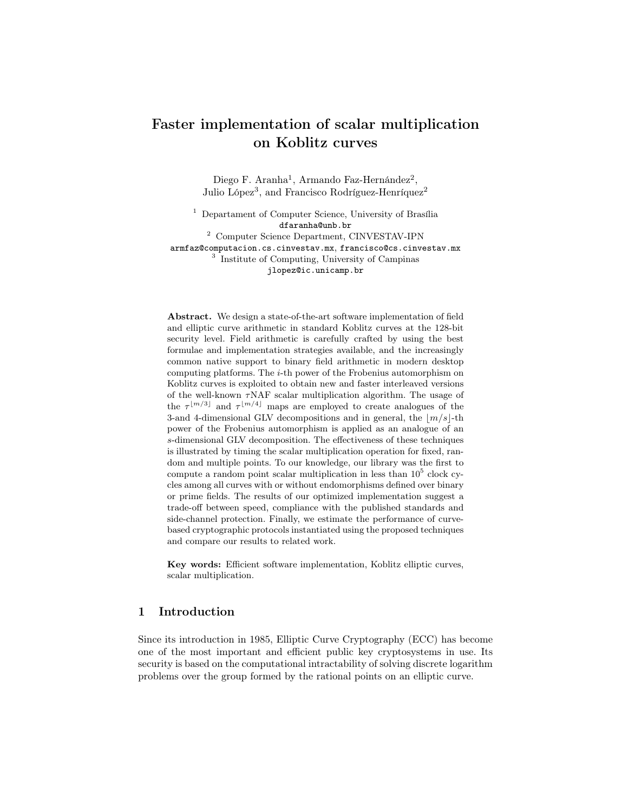# Faster implementation of scalar multiplication on Koblitz curves

Diego F. Aranha<sup>1</sup>, Armando Faz-Hernández<sup>2</sup>, Julio López<sup>3</sup>, and Francisco Rodríguez-Henríquez<sup>2</sup>

<sup>1</sup> Departament of Computer Science, University of Brasília dfaranha@unb.br

<sup>2</sup> Computer Science Department, CINVESTAV-IPN armfaz@computacion.cs.cinvestav.mx, francisco@cs.cinvestav.mx 3 Institute of Computing, University of Campinas jlopez@ic.unicamp.br

Abstract. We design a state-of-the-art software implementation of field and elliptic curve arithmetic in standard Koblitz curves at the 128-bit security level. Field arithmetic is carefully crafted by using the best formulae and implementation strategies available, and the increasingly common native support to binary field arithmetic in modern desktop computing platforms. The  $i$ -th power of the Frobenius automorphism on Koblitz curves is exploited to obtain new and faster interleaved versions of the well-known  $\tau$ NAF scalar multiplication algorithm. The usage of the  $\tau^{\lfloor m/3 \rfloor}$  and  $\tau^{\lfloor m/4 \rfloor}$  maps are employed to create analogues of the 3-and 4-dimensional GLV decompositions and in general, the  $\lfloor m/s \rfloor$ -th power of the Frobenius automorphism is applied as an analogue of an s-dimensional GLV decomposition. The effectiveness of these techniques is illustrated by timing the scalar multiplication operation for fixed, random and multiple points. To our knowledge, our library was the first to compute a random point scalar multiplication in less than  $10<sup>5</sup>$  clock cycles among all curves with or without endomorphisms defined over binary or prime fields. The results of our optimized implementation suggest a trade-off between speed, compliance with the published standards and side-channel protection. Finally, we estimate the performance of curvebased cryptographic protocols instantiated using the proposed techniques and compare our results to related work.

Key words: Efficient software implementation, Koblitz elliptic curves, scalar multiplication.

## 1 Introduction

Since its introduction in 1985, Elliptic Curve Cryptography (ECC) has become one of the most important and efficient public key cryptosystems in use. Its security is based on the computational intractability of solving discrete logarithm problems over the group formed by the rational points on an elliptic curve.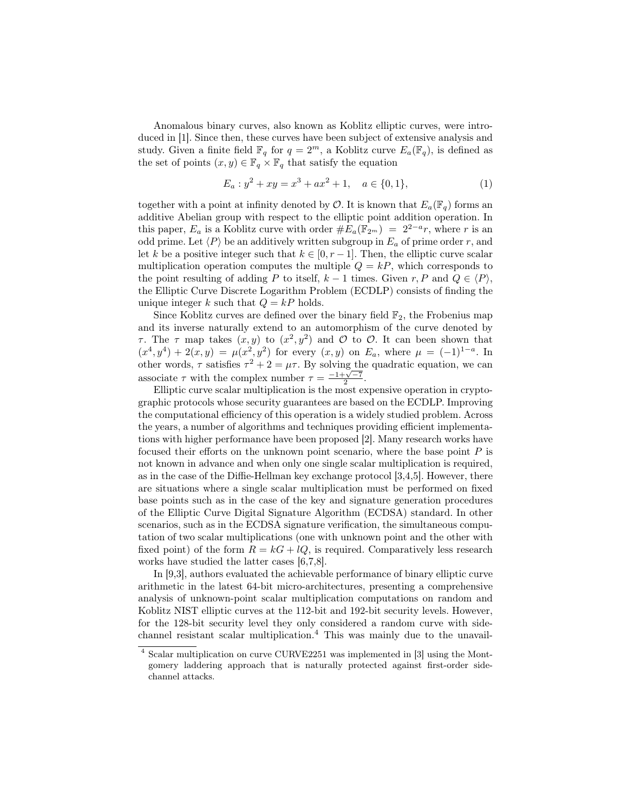Anomalous binary curves, also known as Koblitz elliptic curves, were introduced in [1]. Since then, these curves have been subject of extensive analysis and study. Given a finite field  $\mathbb{F}_q$  for  $q = 2^m$ , a Koblitz curve  $E_a(\mathbb{F}_q)$ , is defined as the set of points  $(x, y) \in \mathbb{F}_q \times \mathbb{F}_q$  that satisfy the equation

$$
E_a: y^2 + xy = x^3 + ax^2 + 1, \quad a \in \{0, 1\},\tag{1}
$$

together with a point at infinity denoted by  $\mathcal{O}$ . It is known that  $E_a(\mathbb{F}_q)$  forms an additive Abelian group with respect to the elliptic point addition operation. In this paper,  $E_a$  is a Koblitz curve with order  $#E_a(\mathbb{F}_{2^m}) = 2^{2-a}r$ , where r is an odd prime. Let  $\langle P \rangle$  be an additively written subgroup in  $E_a$  of prime order r, and let k be a positive integer such that  $k \in [0, r-1]$ . Then, the elliptic curve scalar multiplication operation computes the multiple  $Q = kP$ , which corresponds to the point resulting of adding P to itself,  $k - 1$  times. Given r, P and  $Q \in \langle P \rangle$ , the Elliptic Curve Discrete Logarithm Problem (ECDLP) consists of finding the unique integer k such that  $Q = kP$  holds.

Since Koblitz curves are defined over the binary field  $\mathbb{F}_2$ , the Frobenius map and its inverse naturally extend to an automorphism of the curve denoted by τ. The τ map takes  $(x, y)$  to  $(x^2, y^2)$  and Ο to Ο. It can been shown that  $(x^4, y^4) + 2(x, y) = \mu(x^2, y^2)$  for every  $(x, y)$  on  $E_a$ , where  $\mu = (-1)^{1-a}$ . In other words,  $\tau$  satisfies  $\tau^2 + 2 = \mu \tau$ . By solving the quadratic equation, we can associate  $\tau$  with the complex number  $\tau = \frac{-1+\sqrt{-7}}{2}$ .

Elliptic curve scalar multiplication is the most expensive operation in cryptographic protocols whose security guarantees are based on the ECDLP. Improving the computational efficiency of this operation is a widely studied problem. Across the years, a number of algorithms and techniques providing efficient implementations with higher performance have been proposed [2]. Many research works have focused their efforts on the unknown point scenario, where the base point  $P$  is not known in advance and when only one single scalar multiplication is required, as in the case of the Diffie-Hellman key exchange protocol [3,4,5]. However, there are situations where a single scalar multiplication must be performed on fixed base points such as in the case of the key and signature generation procedures of the Elliptic Curve Digital Signature Algorithm (ECDSA) standard. In other scenarios, such as in the ECDSA signature verification, the simultaneous computation of two scalar multiplications (one with unknown point and the other with fixed point) of the form  $R = kG + lQ$ , is required. Comparatively less research works have studied the latter cases [6,7,8].

In [9,3], authors evaluated the achievable performance of binary elliptic curve arithmetic in the latest 64-bit micro-architectures, presenting a comprehensive analysis of unknown-point scalar multiplication computations on random and Koblitz NIST elliptic curves at the 112-bit and 192-bit security levels. However, for the 128-bit security level they only considered a random curve with sidechannel resistant scalar multiplication.<sup>4</sup> This was mainly due to the unavail-

<sup>4</sup> Scalar multiplication on curve CURVE2251 was implemented in [3] using the Montgomery laddering approach that is naturally protected against first-order sidechannel attacks.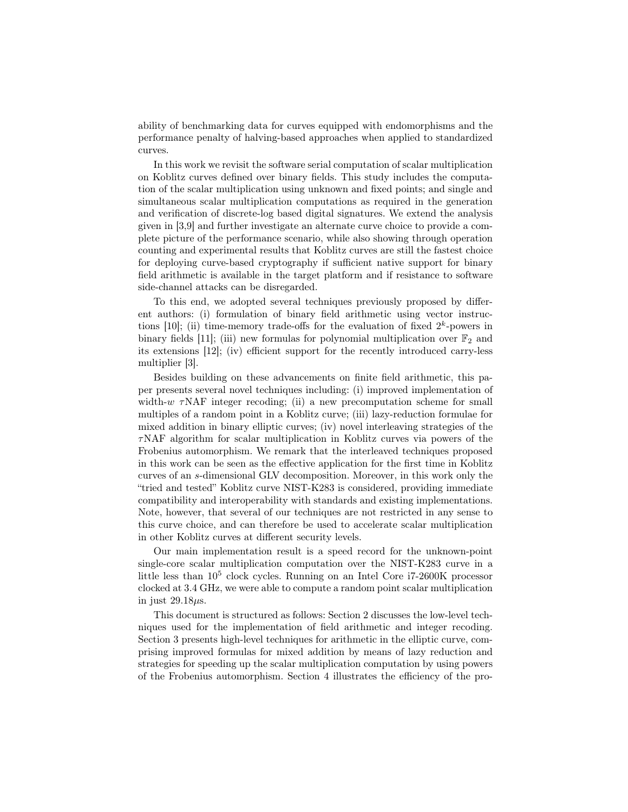ability of benchmarking data for curves equipped with endomorphisms and the performance penalty of halving-based approaches when applied to standardized curves.

In this work we revisit the software serial computation of scalar multiplication on Koblitz curves defined over binary fields. This study includes the computation of the scalar multiplication using unknown and fixed points; and single and simultaneous scalar multiplication computations as required in the generation and verification of discrete-log based digital signatures. We extend the analysis given in [3,9] and further investigate an alternate curve choice to provide a complete picture of the performance scenario, while also showing through operation counting and experimental results that Koblitz curves are still the fastest choice for deploying curve-based cryptography if sufficient native support for binary field arithmetic is available in the target platform and if resistance to software side-channel attacks can be disregarded.

To this end, we adopted several techniques previously proposed by different authors: (i) formulation of binary field arithmetic using vector instructions  $[10]$ ; (ii) time-memory trade-offs for the evaluation of fixed  $2<sup>k</sup>$ -powers in binary fields [11]; (iii) new formulas for polynomial multiplication over  $\mathbb{F}_2$  and its extensions [12]; (iv) efficient support for the recently introduced carry-less multiplier [3].

Besides building on these advancements on finite field arithmetic, this paper presents several novel techniques including: (i) improved implementation of width-w  $\tau$ NAF integer recoding; (ii) a new precomputation scheme for small multiples of a random point in a Koblitz curve; (iii) lazy-reduction formulae for mixed addition in binary elliptic curves; (iv) novel interleaving strategies of the τNAF algorithm for scalar multiplication in Koblitz curves via powers of the Frobenius automorphism. We remark that the interleaved techniques proposed in this work can be seen as the effective application for the first time in Koblitz curves of an s-dimensional GLV decomposition. Moreover, in this work only the "tried and tested" Koblitz curve NIST-K283 is considered, providing immediate compatibility and interoperability with standards and existing implementations. Note, however, that several of our techniques are not restricted in any sense to this curve choice, and can therefore be used to accelerate scalar multiplication in other Koblitz curves at different security levels.

Our main implementation result is a speed record for the unknown-point single-core scalar multiplication computation over the NIST-K283 curve in a little less than  $10^5$  clock cycles. Running on an Intel Core i7-2600K processor clocked at 3.4 GHz, we were able to compute a random point scalar multiplication in just  $29.18\mu s$ .

This document is structured as follows: Section 2 discusses the low-level techniques used for the implementation of field arithmetic and integer recoding. Section 3 presents high-level techniques for arithmetic in the elliptic curve, comprising improved formulas for mixed addition by means of lazy reduction and strategies for speeding up the scalar multiplication computation by using powers of the Frobenius automorphism. Section 4 illustrates the efficiency of the pro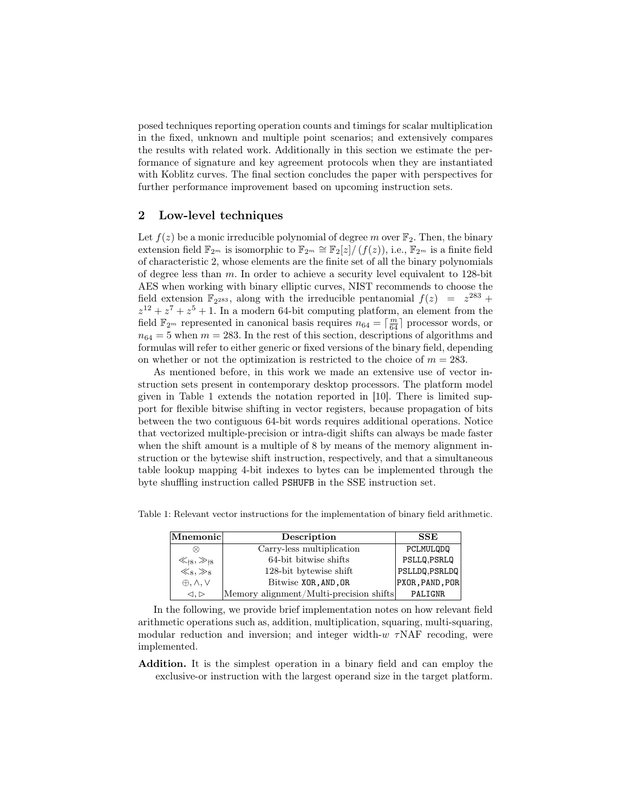posed techniques reporting operation counts and timings for scalar multiplication in the fixed, unknown and multiple point scenarios; and extensively compares the results with related work. Additionally in this section we estimate the performance of signature and key agreement protocols when they are instantiated with Koblitz curves. The final section concludes the paper with perspectives for further performance improvement based on upcoming instruction sets.

### 2 Low-level techniques

Let  $f(z)$  be a monic irreducible polynomial of degree m over  $\mathbb{F}_2$ . Then, the binary extension field  $\mathbb{F}_{2^m}$  is isomorphic to  $\mathbb{F}_{2^m} \cong \mathbb{F}_2[z]/(f(z))$ , i.e.,  $\mathbb{F}_{2^m}$  is a finite field of characteristic 2, whose elements are the finite set of all the binary polynomials of degree less than m. In order to achieve a security level equivalent to 128-bit AES when working with binary elliptic curves, NIST recommends to choose the field extension  $\mathbb{F}_{2^{283}}$ , along with the irreducible pentanomial  $f(z) = z^{283} +$  $z^{12} + z^7 + z^5 + 1$ . In a modern 64-bit computing platform, an element from the field  $\mathbb{F}_{2^m}$  represented in canonical basis requires  $n_{64} = \lceil \frac{m}{64} \rceil$  processor words, or  $n_{64} = 5$  when  $m = 283$ . In the rest of this section, descriptions of algorithms and formulas will refer to either generic or fixed versions of the binary field, depending on whether or not the optimization is restricted to the choice of  $m = 283$ .

As mentioned before, in this work we made an extensive use of vector instruction sets present in contemporary desktop processors. The platform model given in Table 1 extends the notation reported in [10]. There is limited support for flexible bitwise shifting in vector registers, because propagation of bits between the two contiguous 64-bit words requires additional operations. Notice that vectorized multiple-precision or intra-digit shifts can always be made faster when the shift amount is a multiple of 8 by means of the memory alignment instruction or the bytewise shift instruction, respectively, and that a simultaneous table lookup mapping 4-bit indexes to bytes can be implemented through the byte shuffling instruction called PSHUFB in the SSE instruction set.

Table 1: Relevant vector instructions for the implementation of binary field arithmetic.

| Mnemonic                        | Description                             | <b>SSE</b>      |
|---------------------------------|-----------------------------------------|-----------------|
| ∞                               | Carry-less multiplication               | PCLMULQDQ       |
| $\ll_{8} \gg_{18}$              | 64-bit bitwise shifts                   | PSLLQ.PSRLQ     |
| $\ll_8, \gg_8$                  | 128-bit bytewise shift                  | PSLLDQ, PSRLDQ  |
| $\oplus, \wedge, \vee$          | Bitwise XOR, AND, OR                    | PXOR, PAND, POR |
| $\triangleleft, \triangleright$ | Memory alignment/Multi-precision shifts | PALIGNR         |

In the following, we provide brief implementation notes on how relevant field arithmetic operations such as, addition, multiplication, squaring, multi-squaring, modular reduction and inversion; and integer width- $w \tau NAF$  recoding, were implemented.

Addition. It is the simplest operation in a binary field and can employ the exclusive-or instruction with the largest operand size in the target platform.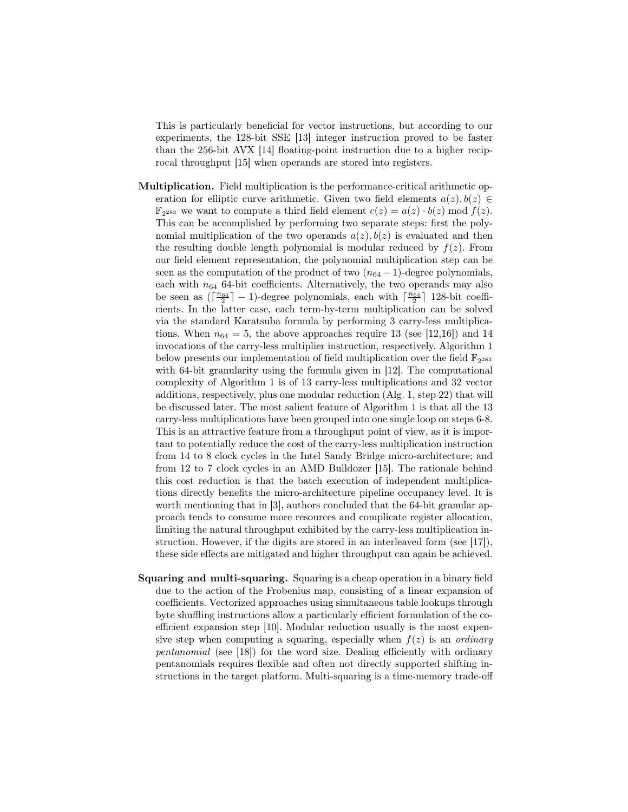This is particularly beneficial for vector instructions, but according to our experiments, the 128-bit SSE [13] integer instruction proved to be faster than the 256-bit AVX [14] floating-point instruction due to a higher reciprocal throughput [15] when operands are stored into registers.

- Multiplication. Field multiplication is the performance-critical arithmetic operation for elliptic curve arithmetic. Given two field elements  $a(z)$ ,  $b(z) \in$  $\mathbb{F}_{2^{283}}$  we want to compute a third field element  $c(z) = a(z) \cdot b(z) \mod f(z)$ . This can be accomplished by performing two separate steps: first the polynomial multiplication of the two operands  $a(z)$ ,  $b(z)$  is evaluated and then the resulting double length polynomial is modular reduced by  $f(z)$ . From our field element representation, the polynomial multiplication step can be seen as the computation of the product of two  $(n_{64}-1)$ -degree polynomials. each with  $n_{64}$  64-bit coefficients. Alternatively, the two operands may also be seen as  $\left(\left\lceil \frac{n_{64}}{2}\right\rceil - 1\right)$ -degree polynomials, each with  $\left\lceil \frac{n_{64}}{2}\right\rceil$  128-bit coefficients. In the latter case, each term-by-term multiplication can be solved via the standard Karatsuba formula by performing 3 carry-less multiplications. When  $n_{64} = 5$ , the above approaches require 13 (see [12,16]) and 14 invocations of the carry-less multiplier instruction, respectively. Algorithm 1 below presents our implementation of field multiplication over the field  $\mathbb{F}_{2^{283}}$ with 64-bit granularity using the formula given in [12]. The computational complexity of Algorithm 1 is of 13 carry-less multiplications and 32 vector additions, respectively, plus one modular reduction (Alg. 1, step 22) that will be discussed later. The most salient feature of Algorithm 1 is that all the 13 carry-less multiplications have been grouped into one single loop on steps 6-8. This is an attractive feature from a throughput point of view, as it is important to potentially reduce the cost of the carry-less multiplication instruction from 14 to 8 clock cycles in the Intel Sandy Bridge micro-architecture; and from 12 to 7 clock cycles in an AMD Bulldozer [15]. The rationale behind this cost reduction is that the batch execution of independent multiplications directly benefits the micro-architecture pipeline occupancy level. It is worth mentioning that in [3], authors concluded that the 64-bit granular approach tends to consume more resources and complicate register allocation, limiting the natural throughput exhibited by the carry-less multiplication instruction. However, if the digits are stored in an interleaved form (see [17]), these side effects are mitigated and higher throughput can again be achieved.
- Squaring and multi-squaring. Squaring is a cheap operation in a binary field due to the action of the Frobenius map, consisting of a linear expansion of coefficients. Vectorized approaches using simultaneous table lookups through byte shuffling instructions allow a particularly efficient formulation of the coefficient expansion step [10]. Modular reduction usually is the most expensive step when computing a squaring, especially when  $f(z)$  is an *ordinary* pentanomial (see [18]) for the word size. Dealing efficiently with ordinary pentanomials requires flexible and often not directly supported shifting instructions in the target platform. Multi-squaring is a time-memory trade-off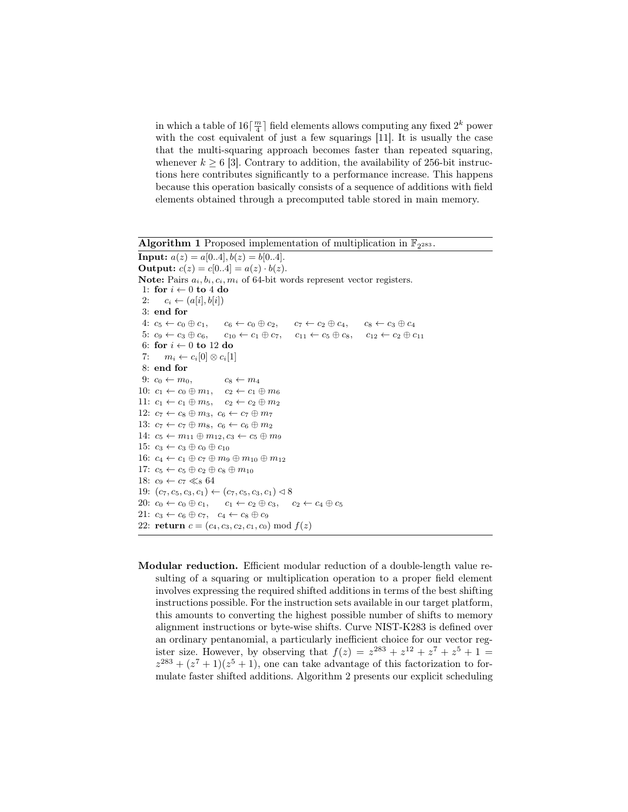in which a table of  $16\lceil\frac{m}{4}\rceil$  field elements allows computing any fixed  $2^k$  power with the cost equivalent of just a few squarings [11]. It is usually the case that the multi-squaring approach becomes faster than repeated squaring, whenever  $k \geq 6$  [3]. Contrary to addition, the availability of 256-bit instructions here contributes significantly to a performance increase. This happens because this operation basically consists of a sequence of additions with field elements obtained through a precomputed table stored in main memory.

Algorithm 1 Proposed implementation of multiplication in  $\mathbb{F}_{2^{283}}$ .

```
Input: a(z) = a[0..4], b(z) = b[0..4].Output: c(z) = c[0..4] = a(z) \cdot b(z).
Note: Pairs a_i, b_i, c_i, m_i of 64-bit words represent vector registers.
 1: for i \leftarrow 0 to 4 do
 2: c_i \leftarrow (a[i], b[i])3: end for
 4: c_5 \leftarrow c_0 \oplus c_1, c_6 \leftarrow c_0 \oplus c_2, c_7 \leftarrow c_2 \oplus c_4, c_8 \leftarrow c_3 \oplus c_45: c_9 \leftarrow c_3 \oplus c_6, c_{10} \leftarrow c_1 \oplus c_7, c_{11} \leftarrow c_5 \oplus c_8, c_{12} \leftarrow c_2 \oplus c_{11}6: for i \leftarrow 0 to 12 do
 7: m_i \leftarrow c_i[0] \otimes c_i[1]8: end for
 9: c_0 \leftarrow m_0, c_8 \leftarrow m_410: c_1 \leftarrow c_0 \oplus m_1, c_2 \leftarrow c_1 \oplus m_611: c_1 \leftarrow c_1 \oplus m_5, c_2 \leftarrow c_2 \oplus m_212: c_7 \leftarrow c_8 \oplus m_3, c_6 \leftarrow c_7 \oplus m_713: c_7 \leftarrow c_7 \oplus m_8, c_6 \leftarrow c_6 \oplus m_214: c_5 \leftarrow m_{11} \oplus m_{12}, c_3 \leftarrow c_5 \oplus m_915: c_3 \leftarrow c_3 \oplus c_0 \oplus c_{10}16: c_4 \leftarrow c_1 \oplus c_7 \oplus m_9 \oplus m_{10} \oplus m_{12}17: c_5 \leftarrow c_5 \oplus c_2 \oplus c_8 \oplus m_{10}18: c_9 \leftarrow c_7 \ll_8 6419: (c_7, c_5, c_3, c_1) \leftarrow (c_7, c_5, c_3, c_1) \triangleleft 820: c_0 \leftarrow c_0 \oplus c_1, c_1 \leftarrow c_2 \oplus c_3, c_2 \leftarrow c_4 \oplus c_521: c_3 \leftarrow c_6 \oplus c_7, c_4 \leftarrow c_8 \oplus c_922: return c = (c_4, c_3, c_2, c_1, c_0) \bmod f(z)
```
Modular reduction. Efficient modular reduction of a double-length value resulting of a squaring or multiplication operation to a proper field element involves expressing the required shifted additions in terms of the best shifting instructions possible. For the instruction sets available in our target platform, this amounts to converting the highest possible number of shifts to memory alignment instructions or byte-wise shifts. Curve NIST-K283 is defined over an ordinary pentanomial, a particularly inefficient choice for our vector register size. However, by observing that  $f(z) = z^{283} + z^{12} + z^7 + z^5 + 1 =$  $z^{283} + (z^7 + 1)(z^5 + 1)$ , one can take advantage of this factorization to formulate faster shifted additions. Algorithm 2 presents our explicit scheduling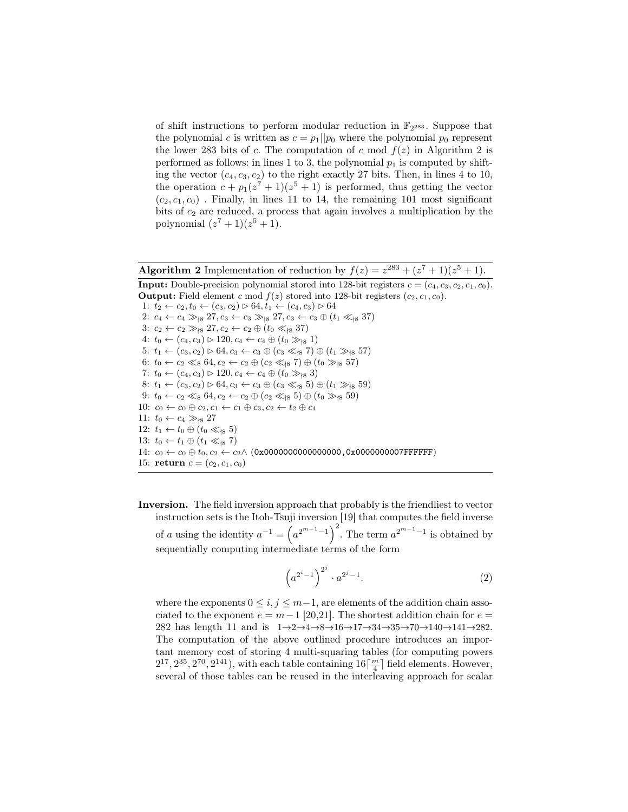of shift instructions to perform modular reduction in  $\mathbb{F}_{2^{283}}$ . Suppose that the polynomial c is written as  $c = p_1||p_0$  where the polynomial  $p_0$  represent the lower 283 bits of c. The computation of c mod  $f(z)$  in Algorithm 2 is performed as follows: in lines 1 to 3, the polynomial  $p_1$  is computed by shifting the vector  $(c_4, c_3, c_2)$  to the right exactly 27 bits. Then, in lines 4 to 10, the operation  $c + p_1(z^7 + 1)(z^5 + 1)$  is performed, thus getting the vector  $(c_2, c_1, c_0)$ . Finally, in lines 11 to 14, the remaining 101 most significant bits of  $c_2$  are reduced, a process that again involves a multiplication by the polynomial  $(z^7 + 1)(z^5 + 1)$ .

Algorithm 2 Implementation of reduction by  $f(z) = z^{283} + (z^7 + 1)(z^5 + 1)$ . **Input:** Double-precision polynomial stored into 128-bit registers  $c = (c_4, c_3, c_2, c_1, c_0)$ .

**Output:** Field element c mod  $f(z)$  stored into 128-bit registers  $(c_2, c_1, c_0)$ . 1:  $t_2 \leftarrow c_2, t_0 \leftarrow (c_3, c_2) \triangleright 64, t_1 \leftarrow (c_4, c_3) \triangleright 64$ 2:  $c_4 \leftarrow c_4 \gg_{8} 27, c_3 \leftarrow c_3 \gg_{8} 27, c_3 \leftarrow c_3 \oplus (t_1 \ll_{8} 37)$ 3:  $c_2 \leftarrow c_2 \gg_{|8} 27, c_2 \leftarrow c_2 \oplus (t_0 \ll_{|8} 37)$ 4:  $t_0 \leftarrow (c_4, c_3) \triangleright 120, c_4 \leftarrow c_4 \oplus (t_0 \gg_{\{8\}} 1)$ 5:  $t_1 \leftarrow (c_3, c_2) \triangleright 64, c_3 \leftarrow c_3 \oplus (c_3 \ll_{18} 7) \oplus (t_1 \gg_{18} 57)$ 6:  $t_0 \leftarrow c_2 \ll_8 64, c_2 \leftarrow c_2 \oplus (c_2 \ll_{8} 7) \oplus (t_0 \gg_{8} 57)$ 7:  $t_0 \leftarrow (c_4, c_3) \triangleright 120, c_4 \leftarrow c_4 \oplus (t_0 \gg_{18} 3)$ 8:  $t_1 \leftarrow (c_3, c_2) \triangleright 64, c_3 \leftarrow c_3 \oplus (c_3 \ll_{\{8\}} 5) \oplus (t_1 \gg_{\{8\}} 59)$ 9:  $t_0 \leftarrow c_2 \ll_8 64, c_2 \leftarrow c_2 \oplus (c_2 \ll_{8} 5) \oplus (t_0 \gg_{8} 59)$ 10:  $c_0 \leftarrow c_0 \oplus c_2, c_1 \leftarrow c_1 \oplus c_3, c_2 \leftarrow t_2 \oplus c_4$ 11:  $t_0 \leftarrow c_4 \gg_{|8} 27$ 12:  $t_1 \leftarrow t_0 \oplus (t_0 \ll_{18} 5)$ 13:  $t_0 \leftarrow t_1 \oplus (t_1 \ll_{\text{18}} 7)$ 14:  $c_0 \leftarrow c_0 \oplus t_0, c_2 \leftarrow c_2 \wedge (0 \times 00000000000000000, 0 \times 00000000007$ FFFFFFF 15: return  $c = (c_2, c_1, c_0)$ 

Inversion. The field inversion approach that probably is the friendliest to vector instruction sets is the Itoh-Tsuji inversion [19] that computes the field inverse of a using the identity  $a^{-1} = (a^{2^{m-1}-1})^2$ . The term  $a^{2^{m-1}-1}$  is obtained by sequentially computing intermediate terms of the form

$$
\left(a^{2^i-1}\right)^{2^j} \cdot a^{2^j-1}.\tag{2}
$$

where the exponents  $0 \le i, j \le m-1$ , are elements of the addition chain associated to the exponent  $e = m-1$  [20,21]. The shortest addition chain for  $e =$ 282 has length 11 and is  $1 \rightarrow 2 \rightarrow 4 \rightarrow 8 \rightarrow 16 \rightarrow 17 \rightarrow 34 \rightarrow 35 \rightarrow 70 \rightarrow 140 \rightarrow 141 \rightarrow 282$ . The computation of the above outlined procedure introduces an important memory cost of storing 4 multi-squaring tables (for computing powers  $2^{17}, 2^{35}, 2^{70}, 2^{141}$ , with each table containing  $16\lceil \frac{m}{4} \rceil$  field elements. However, several of those tables can be reused in the interleaving approach for scalar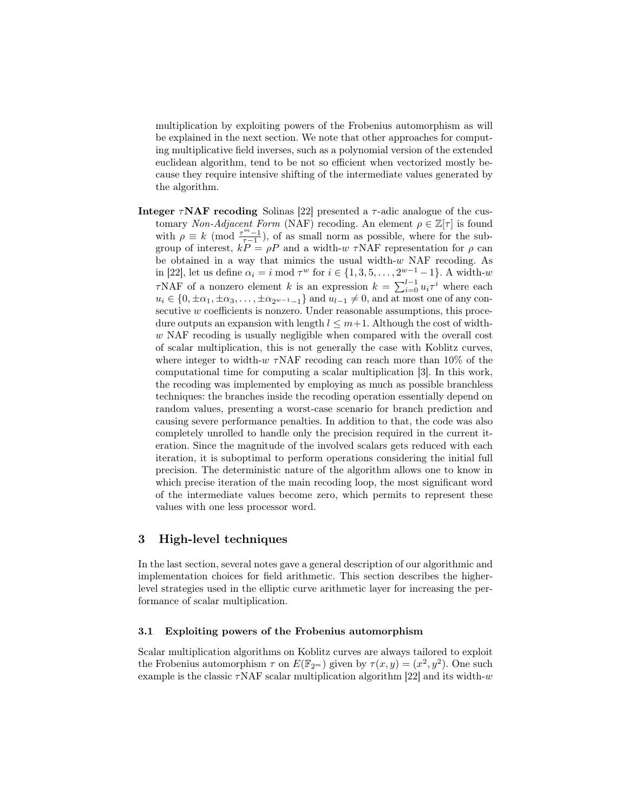multiplication by exploiting powers of the Frobenius automorphism as will be explained in the next section. We note that other approaches for computing multiplicative field inverses, such as a polynomial version of the extended euclidean algorithm, tend to be not so efficient when vectorized mostly because they require intensive shifting of the intermediate values generated by the algorithm.

Integer  $\tau NAF$  recoding Solinas [22] presented a  $\tau$ -adic analogue of the customary Non-Adjacent Form (NAF) recoding. An element  $\rho \in \mathbb{Z}[\tau]$  is found with  $\rho \equiv k \pmod{\frac{\tau^m-1}{\tau-1}}$ , of as small norm as possible, where for the subgroup of interest,  $kP = \rho P$  and a width-w  $\tau NAF$  representation for  $\rho$  can be obtained in a way that mimics the usual width- $w$  NAF recoding. As in [22], let us define  $\alpha_i = i \mod \tau^w$  for  $i \in \{1, 3, 5, \dots, 2^{w-1} - 1\}$ . A width-w  $\tau$ NAF of a nonzero element k is an expression  $k = \sum_{i=0}^{l-1} u_i \tau^i$  where each  $u_i \in \{0, \pm\alpha_1, \pm\alpha_3, \ldots, \pm\alpha_{2^{w-1}-1}\}\$  and  $u_{l-1} \neq 0$ , and at most one of any consecutive w coefficients is nonzero. Under reasonable assumptions, this procedure outputs an expansion with length  $l \leq m+1$ . Although the cost of widthw NAF recoding is usually negligible when compared with the overall cost of scalar multiplication, this is not generally the case with Koblitz curves, where integer to width- $w \tau NAF$  recoding can reach more than 10% of the computational time for computing a scalar multiplication [3]. In this work, the recoding was implemented by employing as much as possible branchless techniques: the branches inside the recoding operation essentially depend on random values, presenting a worst-case scenario for branch prediction and causing severe performance penalties. In addition to that, the code was also completely unrolled to handle only the precision required in the current iteration. Since the magnitude of the involved scalars gets reduced with each iteration, it is suboptimal to perform operations considering the initial full precision. The deterministic nature of the algorithm allows one to know in which precise iteration of the main recoding loop, the most significant word of the intermediate values become zero, which permits to represent these values with one less processor word.

## 3 High-level techniques

In the last section, several notes gave a general description of our algorithmic and implementation choices for field arithmetic. This section describes the higherlevel strategies used in the elliptic curve arithmetic layer for increasing the performance of scalar multiplication.

#### 3.1 Exploiting powers of the Frobenius automorphism

Scalar multiplication algorithms on Koblitz curves are always tailored to exploit the Frobenius automorphism  $\tau$  on  $E(\mathbb{F}_{2^m})$  given by  $\tau(x,y) = (x^2, y^2)$ . One such example is the classic  $\tau$ NAF scalar multiplication algorithm [22] and its width-w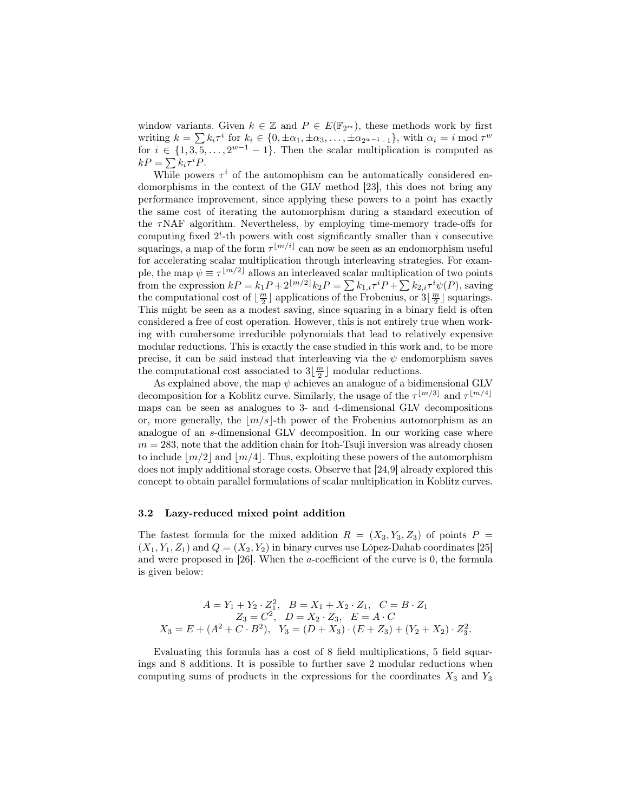window variants. Given  $k \in \mathbb{Z}$  and  $P \in E(\mathbb{F}_{2^m})$ , these methods work by first writing  $k = \sum k_i \tau^i$  for  $k_i \in \{0, \pm \alpha_1, \pm \alpha_3, \dots, \pm \alpha_{2^{w-1}-1}\}\$ , with  $\alpha_i = i \mod \tau^w$ for  $i \in \{1, 3, 5, \ldots, 2^{w-1} - 1\}$ . Then the scalar multiplication is computed as  $kP = \sum k_i \tau^i P.$ 

While powers  $\tau^i$  of the automophism can be automatically considered endomorphisms in the context of the GLV method [23], this does not bring any performance improvement, since applying these powers to a point has exactly the same cost of iterating the automorphism during a standard execution of the  $\tau$ NAF algorithm. Nevertheless, by employing time-memory trade-offs for computing fixed  $2^{i}$ -th powers with cost significantly smaller than i consecutive squarings, a map of the form  $\tau^{\lfloor m/i \rfloor}$  can now be seen as an endomorphism useful for accelerating scalar multiplication through interleaving strategies. For example, the map  $\psi \equiv \tau^{\lfloor m/2 \rfloor}$  allows an interleaved scalar multiplication of two points from the expression  $kP = k_1P + 2^{\lfloor m/2 \rfloor} k_2P = \sum k_{1,i}\tau^i P + \sum k_{2,i}\tau^i \psi(P)$ , saving the computational cost of  $\lfloor \frac{m}{2} \rfloor$  applications of the Frobenius, or  $3\lfloor \frac{m}{2} \rfloor$  squarings. This might be seen as a modest saving, since squaring in a binary field is often considered a free of cost operation. However, this is not entirely true when working with cumbersome irreducible polynomials that lead to relatively expensive modular reductions. This is exactly the case studied in this work and, to be more precise, it can be said instead that interleaving via the  $\psi$  endomorphism saves the computational cost associated to  $3\lfloor\frac{m}{2}\rfloor$  modular reductions.

As explained above, the map  $\psi$  achieves an analogue of a bidimensional GLV decomposition for a Koblitz curve. Similarly, the usage of the  $\tau^{\lfloor m/3 \rfloor}$  and  $\tau^{\lfloor m/4 \rfloor}$ maps can be seen as analogues to 3- and 4-dimensional GLV decompositions or, more generally, the  $|m/s|$ -th power of the Frobenius automorphism as an analogue of an s-dimensional GLV decomposition. In our working case where  $m = 283$ , note that the addition chain for Itoh-Tsuji inversion was already chosen to include  $\lfloor m/2 \rfloor$  and  $\lfloor m/4 \rfloor$ . Thus, exploiting these powers of the automorphism does not imply additional storage costs. Observe that [24,9] already explored this concept to obtain parallel formulations of scalar multiplication in Koblitz curves.

#### 3.2 Lazy-reduced mixed point addition

The fastest formula for the mixed addition  $R = (X_3, Y_3, Z_3)$  of points  $P =$  $(X_1, Y_1, Z_1)$  and  $Q = (X_2, Y_2)$  in binary curves use López-Dahab coordinates [25] and were proposed in [26]. When the a-coefficient of the curve is 0, the formula is given below:

$$
A = Y_1 + Y_2 \cdot Z_1^2, \quad B = X_1 + X_2 \cdot Z_1, \quad C = B \cdot Z_1
$$
  
\n
$$
Z_3 = C^2, \quad D = X_2 \cdot Z_3, \quad E = A \cdot C
$$
  
\n
$$
X_3 = E + (A^2 + C \cdot B^2), \quad Y_3 = (D + X_3) \cdot (E + Z_3) + (Y_2 + X_2) \cdot Z_3^2
$$

.

Evaluating this formula has a cost of 8 field multiplications, 5 field squarings and 8 additions. It is possible to further save 2 modular reductions when computing sums of products in the expressions for the coordinates  $X_3$  and  $Y_3$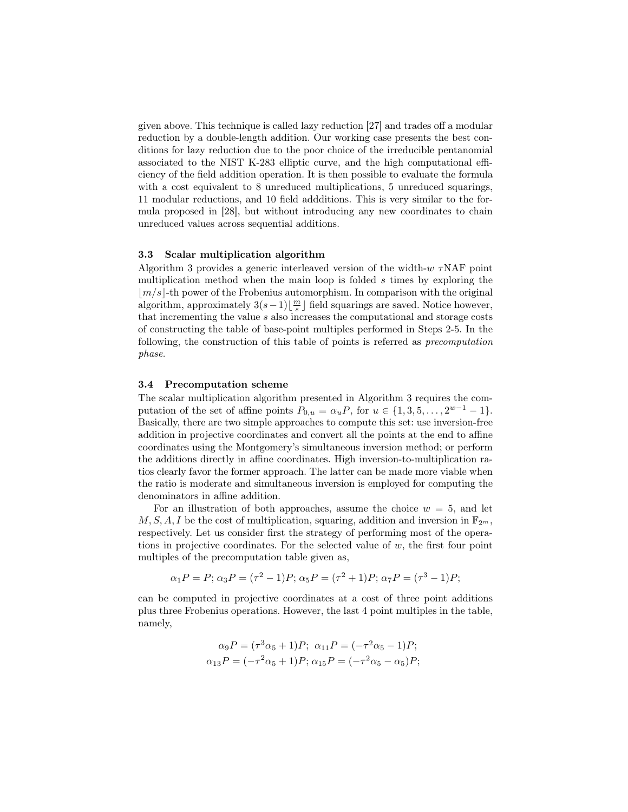given above. This technique is called lazy reduction [27] and trades off a modular reduction by a double-length addition. Our working case presents the best conditions for lazy reduction due to the poor choice of the irreducible pentanomial associated to the NIST K-283 elliptic curve, and the high computational efficiency of the field addition operation. It is then possible to evaluate the formula with a cost equivalent to 8 unreduced multiplications, 5 unreduced squarings, 11 modular reductions, and 10 field addditions. This is very similar to the formula proposed in [28], but without introducing any new coordinates to chain unreduced values across sequential additions.

#### 3.3 Scalar multiplication algorithm

Algorithm 3 provides a generic interleaved version of the width- $w \tau NAF$  point multiplication method when the main loop is folded  $s$  times by exploring the  $|m/s|$ -th power of the Frobenius automorphism. In comparison with the original algorithm, approximately  $3(s-1)\left\lfloor \frac{m}{s}\right\rfloor$  field squarings are saved. Notice however, that incrementing the value s also increases the computational and storage costs of constructing the table of base-point multiples performed in Steps 2-5. In the following, the construction of this table of points is referred as precomputation phase.

#### 3.4 Precomputation scheme

The scalar multiplication algorithm presented in Algorithm 3 requires the computation of the set of affine points  $P_{0,u} = \alpha_u P$ , for  $u \in \{1, 3, 5, \ldots, 2^{w-1} - 1\}$ . Basically, there are two simple approaches to compute this set: use inversion-free addition in projective coordinates and convert all the points at the end to affine coordinates using the Montgomery's simultaneous inversion method; or perform the additions directly in affine coordinates. High inversion-to-multiplication ratios clearly favor the former approach. The latter can be made more viable when the ratio is moderate and simultaneous inversion is employed for computing the denominators in affine addition.

For an illustration of both approaches, assume the choice  $w = 5$ , and let  $M, S, A, I$  be the cost of multiplication, squaring, addition and inversion in  $\mathbb{F}_{2^m}$ , respectively. Let us consider first the strategy of performing most of the operations in projective coordinates. For the selected value of  $w$ , the first four point multiples of the precomputation table given as,

$$
\alpha_1 P = P; \alpha_3 P = (\tau^2 - 1)P; \alpha_5 P = (\tau^2 + 1)P; \alpha_7 P = (\tau^3 - 1)P;
$$

can be computed in projective coordinates at a cost of three point additions plus three Frobenius operations. However, the last 4 point multiples in the table, namely,

$$
\alpha_9 P = (\tau^3 \alpha_5 + 1) P; \ \alpha_{11} P = (-\tau^2 \alpha_5 - 1) P; \n\alpha_{13} P = (-\tau^2 \alpha_5 + 1) P; \ \alpha_{15} P = (-\tau^2 \alpha_5 - \alpha_5) P;
$$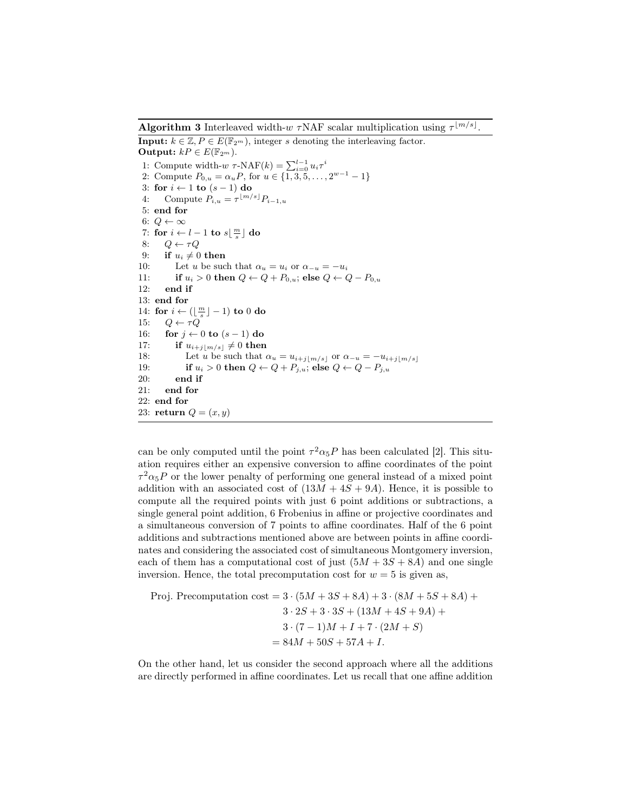**Algorithm 3** Interleaved width-w  $\tau$ NAF scalar multiplication using  $\tau^{[m/s]}$ .

**Input:**  $k \in \mathbb{Z}, P \in E(\mathbb{F}_{2^m})$ , integer s denoting the interleaving factor. Output:  $kP \in E(\mathbb{F}_{2^m})$ . 1: Compute width- $w \tau$ -NAF $(k) = \sum_{i=0}^{l-1} u_i \tau^i$ 2: Compute  $P_{0,u} = \alpha_u P$ , for  $u \in \{1, 3, 5, \ldots, 2^{w-1} - 1\}$ 3: for  $i \leftarrow 1$  to  $(s-1)$  do 4: Compute  $P_{i,u} = \tau^{\lfloor m/s \rfloor} P_{i-1,u}$ 5: end for 6:  $Q \leftarrow \infty$ 7: for  $i \leftarrow l - 1$  to  $s\lfloor \frac{m}{s} \rfloor$  do 8:  $Q \leftarrow \tau Q$ 9: if  $u_i \neq 0$  then 10: Let u be such that  $\alpha_u = u_i$  or  $\alpha_{-u} = -u_i$ 11: if  $u_i > 0$  then  $Q \leftarrow Q + P_{0,u}$ ; else  $Q \leftarrow Q - P_{0,u}$ 12: end if 13: end for 14: for  $i \leftarrow (\lfloor \frac{m}{s} \rfloor - 1)$  to 0 do 15:  $Q \leftarrow \tau Q$ 16: for  $j \leftarrow 0$  to  $(s-1)$  do 17: if  $u_{i+j|m/s|} \neq 0$  then 18: Let u be such that  $\alpha_u = u_{i+j|m/s|}$  or  $\alpha_{-u} = -u_{i+j|m/s|}$ 19: if  $u_i > 0$  then  $Q \leftarrow Q + P_{i,u}$ ; else  $Q \leftarrow Q - P_{i,u}$ 20: end if 21: end for 22: end for 23: return  $Q = (x, y)$ 

can be only computed until the point  $\tau^2 \alpha_5 P$  has been calculated [2]. This situation requires either an expensive conversion to affine coordinates of the point  $\tau^2 \alpha_5 P$  or the lower penalty of performing one general instead of a mixed point addition with an associated cost of  $(13M + 4S + 9A)$ . Hence, it is possible to compute all the required points with just 6 point additions or subtractions, a single general point addition, 6 Frobenius in affine or projective coordinates and a simultaneous conversion of 7 points to affine coordinates. Half of the 6 point additions and subtractions mentioned above are between points in affine coordinates and considering the associated cost of simultaneous Montgomery inversion, each of them has a computational cost of just  $(5M + 3S + 8A)$  and one single inversion. Hence, the total precomputation cost for  $w = 5$  is given as,

Proj. Precomputation cost = 
$$
3 \cdot (5M + 3S + 8A) + 3 \cdot (8M + 5S + 8A) + 3 \cdot 2S + 3 \cdot 3S + (13M + 4S + 9A) + 3 \cdot (7 - 1)M + I + 7 \cdot (2M + S)
$$

\n $= 84M + 50S + 57A + I.$ 

On the other hand, let us consider the second approach where all the additions are directly performed in affine coordinates. Let us recall that one affine addition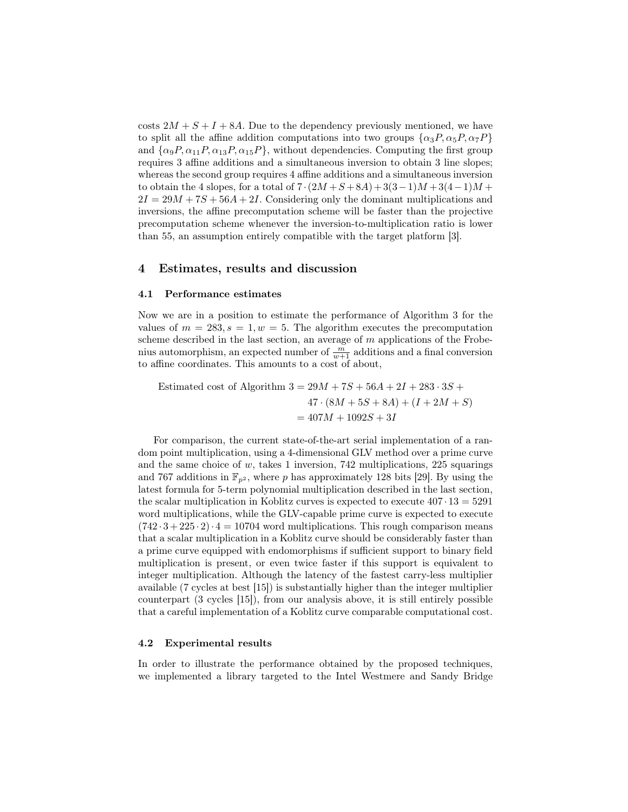costs  $2M + S + I + 8A$ . Due to the dependency previously mentioned, we have to split all the affine addition computations into two groups  $\{\alpha_3P, \alpha_5P, \alpha_7P\}$ and  $\{\alpha_9P, \alpha_{11}P, \alpha_{13}P, \alpha_{15}P\}$ , without dependencies. Computing the first group requires 3 affine additions and a simultaneous inversion to obtain 3 line slopes; whereas the second group requires 4 affine additions and a simultaneous inversion to obtain the 4 slopes, for a total of  $7 \cdot (2M + S + 8A) + 3(3-1)M + 3(4-1)M +$  $2I = 29M + 7S + 56A + 2I$ . Considering only the dominant multiplications and inversions, the affine precomputation scheme will be faster than the projective precomputation scheme whenever the inversion-to-multiplication ratio is lower than 55, an assumption entirely compatible with the target platform [3].

### 4 Estimates, results and discussion

#### 4.1 Performance estimates

Now we are in a position to estimate the performance of Algorithm 3 for the values of  $m = 283$ ,  $s = 1$ ,  $w = 5$ . The algorithm executes the precomputation scheme described in the last section, an average of m applications of the Frobenius automorphism, an expected number of  $\frac{m}{w+1}$  additions and a final conversion to affine coordinates. This amounts to a cost of about,

Estimated cost of Algorithm  $3 = 29M + 7S + 56A + 2I + 283 \cdot 3S +$  $47 \cdot (8M + 5S + 8A) + (I + 2M + S)$  $= 407M + 1092S + 3I$ 

For comparison, the current state-of-the-art serial implementation of a random point multiplication, using a 4-dimensional GLV method over a prime curve and the same choice of  $w$ , takes 1 inversion, 742 multiplications, 225 squarings and 767 additions in  $\mathbb{F}_{p^2}$ , where p has approximately 128 bits [29]. By using the latest formula for 5-term polynomial multiplication described in the last section, the scalar multiplication in Koblitz curves is expected to execute  $407 \cdot 13 = 5291$ word multiplications, while the GLV-capable prime curve is expected to execute  $(742 \cdot 3 + 225 \cdot 2) \cdot 4 = 10704$  word multiplications. This rough comparison means that a scalar multiplication in a Koblitz curve should be considerably faster than a prime curve equipped with endomorphisms if sufficient support to binary field multiplication is present, or even twice faster if this support is equivalent to integer multiplication. Although the latency of the fastest carry-less multiplier available (7 cycles at best [15]) is substantially higher than the integer multiplier counterpart (3 cycles [15]), from our analysis above, it is still entirely possible that a careful implementation of a Koblitz curve comparable computational cost.

#### 4.2 Experimental results

In order to illustrate the performance obtained by the proposed techniques, we implemented a library targeted to the Intel Westmere and Sandy Bridge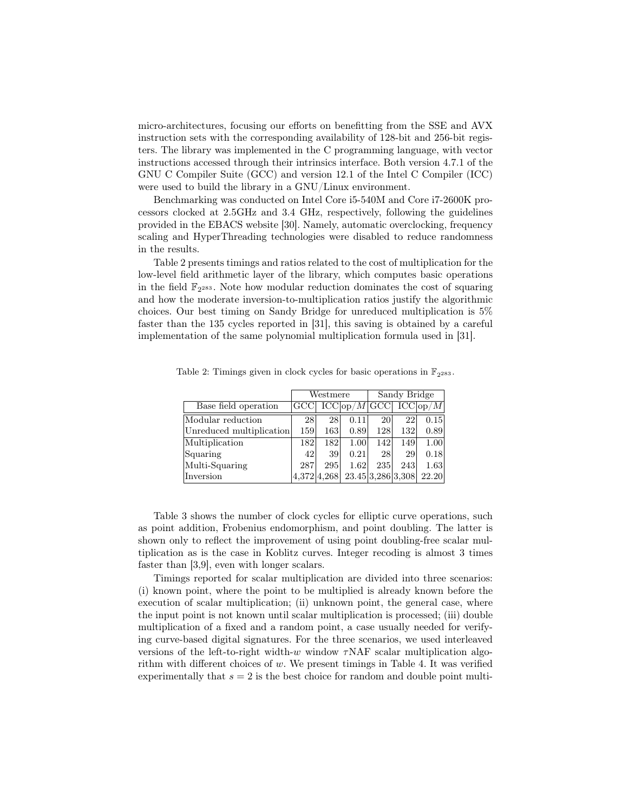micro-architectures, focusing our efforts on benefitting from the SSE and AVX instruction sets with the corresponding availability of 128-bit and 256-bit registers. The library was implemented in the C programming language, with vector instructions accessed through their intrinsics interface. Both version 4.7.1 of the GNU C Compiler Suite (GCC) and version 12.1 of the Intel C Compiler (ICC) were used to build the library in a GNU/Linux environment.

Benchmarking was conducted on Intel Core i5-540M and Core i7-2600K processors clocked at 2.5GHz and 3.4 GHz, respectively, following the guidelines provided in the EBACS website [30]. Namely, automatic overclocking, frequency scaling and HyperThreading technologies were disabled to reduce randomness in the results.

Table 2 presents timings and ratios related to the cost of multiplication for the low-level field arithmetic layer of the library, which computes basic operations in the field  $\mathbb{F}_{2^{283}}$ . Note how modular reduction dominates the cost of squaring and how the moderate inversion-to-multiplication ratios justify the algorithmic choices. Our best timing on Sandy Bridge for unreduced multiplication is 5% faster than the 135 cycles reported in [31], this saving is obtained by a careful implementation of the same polynomial multiplication formula used in [31].

|                          |     | Westmere    |                        | Sandy Bridge      |     |       |
|--------------------------|-----|-------------|------------------------|-------------------|-----|-------|
| Base field operation     | GCC |             | $ICCop/M1GCC1 ICCop/M$ |                   |     |       |
| Modular reduction        | 28  | 28          | 0.11                   | 20                | 22  | 0.15  |
| Unreduced multiplication | 159 | 163         | 0.89                   | 128               | 132 | 0.89  |
| Multiplication           | 182 | 182         | 1.00                   | 142               | 149 | 1.00  |
| Squaring                 | 42  | 39          | 0.21                   | 28                | 29  | 0.18  |
| Multi-Squaring           | 287 | 295         | 1.62                   | 235               | 243 | 1.63  |
| Inversion                |     | 4.372 4.268 |                        | 23.45 3.286 3.308 |     | 22.20 |

Table 2: Timings given in clock cycles for basic operations in  $\mathbb{F}_{2^{283}}$ .

Table 3 shows the number of clock cycles for elliptic curve operations, such as point addition, Frobenius endomorphism, and point doubling. The latter is shown only to reflect the improvement of using point doubling-free scalar multiplication as is the case in Koblitz curves. Integer recoding is almost 3 times faster than [3,9], even with longer scalars.

Timings reported for scalar multiplication are divided into three scenarios: (i) known point, where the point to be multiplied is already known before the execution of scalar multiplication; (ii) unknown point, the general case, where the input point is not known until scalar multiplication is processed; (iii) double multiplication of a fixed and a random point, a case usually needed for verifying curve-based digital signatures. For the three scenarios, we used interleaved versions of the left-to-right width-w window  $\tau$ NAF scalar multiplication algorithm with different choices of  $w$ . We present timings in Table 4. It was verified experimentally that  $s = 2$  is the best choice for random and double point multi-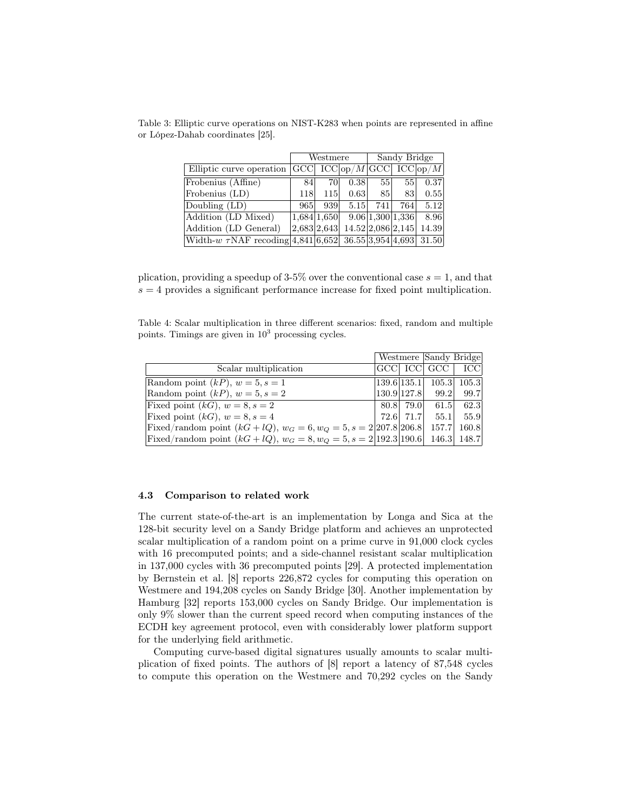|                                                                 |             | Westmere |                                      | Sandy Bridge    |                  |       |
|-----------------------------------------------------------------|-------------|----------|--------------------------------------|-----------------|------------------|-------|
| Elliptic curve operation                                        |             |          | $ GCC $ $ICC op/M$ $GCC $ $ICC op/M$ |                 |                  |       |
| Frobenius (Affine)                                              | 84          | 70       | 0.38                                 | 55 <sub>1</sub> | 55               | 0.37  |
| Frobenius (LD)                                                  | <b>118</b>  | 115      | 0.63                                 | 85              | 83               | 0.55  |
| Doubling (LD)                                                   | 965         | 939      | 5.15                                 | 741             | 764              | 5.12  |
| Addition (LD Mixed)                                             | 1,684 1,650 |          |                                      |                 | 9.06 1,300 1,336 | 8.96  |
| Addition (LD General)                                           | 2,683 2,643 |          | 14.52 2,086 2,145                    |                 |                  | 14.39 |
| Width-w $\tau$ NAF recoding 4,841 6,652 36.55 3,954 4,693 31.50 |             |          |                                      |                 |                  |       |

Table 3: Elliptic curve operations on NIST-K283 when points are represented in affine or López-Dahab coordinates [25].

plication, providing a speedup of 3-5% over the conventional case  $s = 1$ , and that  $s = 4$  provides a significant performance increase for fixed point multiplication.

Table 4: Scalar multiplication in three different scenarios: fixed, random and multiple points. Timings are given in  $10<sup>3</sup>$  processing cycles.

|                                                                               |             | Westmere Sandy Bridge |               |
|-------------------------------------------------------------------------------|-------------|-----------------------|---------------|
| Scalar multiplication                                                         |             | GCC ICC GCC           | <b>ICC</b>    |
| Random point $(kP)$ , $w = 5$ , $s = 1$                                       | 139.6 135.1 |                       | $105.3$ 105.3 |
| Random point $(kP)$ , $w = 5$ , $s = 2$                                       |             | $130.9 127.8 $ 99.2   | 99.7          |
| Fixed point $(kG)$ , $w = 8$ , $s = 2$                                        |             | 80.8 79.0 61.5        | 62.3          |
| Fixed point $(kG)$ , $w = 8$ , $s = 4$                                        | 72.6 71.7   | 55.1                  | 55.9          |
| Fixed/random point $(kG + lQ)$ , $w_G = 6$ , $w_Q = 5$ , $s = 2 207.8 206.8 $ |             | 157.7                 | 160.8         |
| Fixed/random point $(kG + lQ)$ , $w_G = 8$ , $w_Q = 5$ , $s = 2 192.3 190.6 $ |             |                       | 146.3 148.7   |

#### 4.3 Comparison to related work

The current state-of-the-art is an implementation by Longa and Sica at the 128-bit security level on a Sandy Bridge platform and achieves an unprotected scalar multiplication of a random point on a prime curve in 91,000 clock cycles with 16 precomputed points; and a side-channel resistant scalar multiplication in 137,000 cycles with 36 precomputed points [29]. A protected implementation by Bernstein et al. [8] reports 226,872 cycles for computing this operation on Westmere and 194,208 cycles on Sandy Bridge [30]. Another implementation by Hamburg [32] reports 153,000 cycles on Sandy Bridge. Our implementation is only 9% slower than the current speed record when computing instances of the ECDH key agreement protocol, even with considerably lower platform support for the underlying field arithmetic.

Computing curve-based digital signatures usually amounts to scalar multiplication of fixed points. The authors of [8] report a latency of 87,548 cycles to compute this operation on the Westmere and 70,292 cycles on the Sandy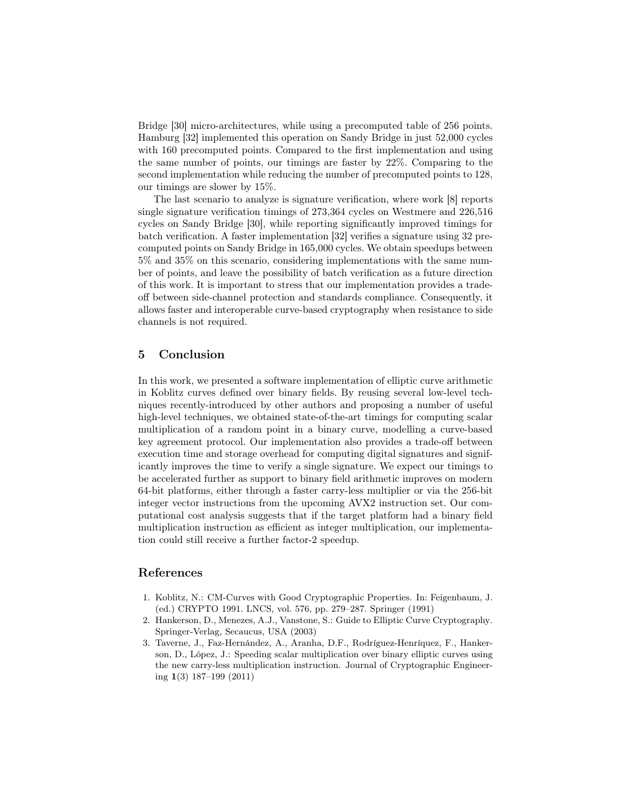Bridge [30] micro-architectures, while using a precomputed table of 256 points. Hamburg [32] implemented this operation on Sandy Bridge in just 52,000 cycles with 160 precomputed points. Compared to the first implementation and using the same number of points, our timings are faster by 22%. Comparing to the second implementation while reducing the number of precomputed points to 128, our timings are slower by 15%.

The last scenario to analyze is signature verification, where work [8] reports single signature verification timings of 273,364 cycles on Westmere and 226,516 cycles on Sandy Bridge [30], while reporting significantly improved timings for batch verification. A faster implementation [32] verifies a signature using 32 precomputed points on Sandy Bridge in 165,000 cycles. We obtain speedups between 5% and 35% on this scenario, considering implementations with the same number of points, and leave the possibility of batch verification as a future direction of this work. It is important to stress that our implementation provides a tradeoff between side-channel protection and standards compliance. Consequently, it allows faster and interoperable curve-based cryptography when resistance to side channels is not required.

## 5 Conclusion

In this work, we presented a software implementation of elliptic curve arithmetic in Koblitz curves defined over binary fields. By reusing several low-level techniques recently-introduced by other authors and proposing a number of useful high-level techniques, we obtained state-of-the-art timings for computing scalar multiplication of a random point in a binary curve, modelling a curve-based key agreement protocol. Our implementation also provides a trade-off between execution time and storage overhead for computing digital signatures and significantly improves the time to verify a single signature. We expect our timings to be accelerated further as support to binary field arithmetic improves on modern 64-bit platforms, either through a faster carry-less multiplier or via the 256-bit integer vector instructions from the upcoming AVX2 instruction set. Our computational cost analysis suggests that if the target platform had a binary field multiplication instruction as efficient as integer multiplication, our implementation could still receive a further factor-2 speedup.

## References

- 1. Koblitz, N.: CM-Curves with Good Cryptographic Properties. In: Feigenbaum, J. (ed.) CRYPTO 1991. LNCS, vol. 576, pp. 279–287. Springer (1991)
- 2. Hankerson, D., Menezes, A.J., Vanstone, S.: Guide to Elliptic Curve Cryptography. Springer-Verlag, Secaucus, USA (2003)
- 3. Taverne, J., Faz-Hernández, A., Aranha, D.F., Rodríguez-Henríquez, F., Hankerson, D., López, J.: Speeding scalar multiplication over binary elliptic curves using the new carry-less multiplication instruction. Journal of Cryptographic Engineering 1(3) 187–199 (2011)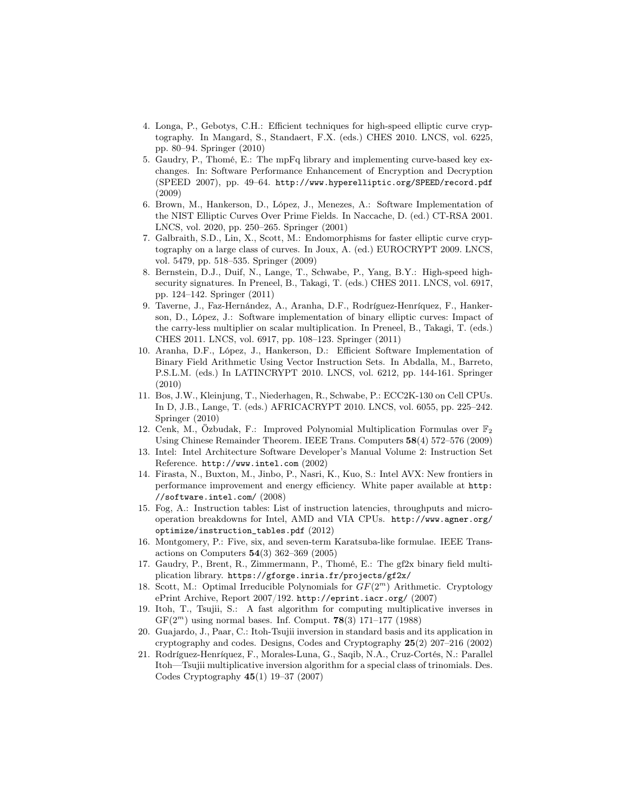- 4. Longa, P., Gebotys, C.H.: Efficient techniques for high-speed elliptic curve cryptography. In Mangard, S., Standaert, F.X. (eds.) CHES 2010. LNCS, vol. 6225, pp. 80–94. Springer (2010)
- 5. Gaudry, P., Thomé, E.: The mpFq library and implementing curve-based key exchanges. In: Software Performance Enhancement of Encryption and Decryption (SPEED 2007), pp. 49–64. http://www.hyperelliptic.org/SPEED/record.pdf (2009)
- 6. Brown, M., Hankerson, D., López, J., Menezes, A.: Software Implementation of the NIST Elliptic Curves Over Prime Fields. In Naccache, D. (ed.) CT-RSA 2001. LNCS, vol. 2020, pp. 250–265. Springer (2001)
- 7. Galbraith, S.D., Lin, X., Scott, M.: Endomorphisms for faster elliptic curve cryptography on a large class of curves. In Joux, A. (ed.) EUROCRYPT 2009. LNCS, vol. 5479, pp. 518–535. Springer (2009)
- 8. Bernstein, D.J., Duif, N., Lange, T., Schwabe, P., Yang, B.Y.: High-speed highsecurity signatures. In Preneel, B., Takagi, T. (eds.) CHES 2011. LNCS, vol. 6917, pp. 124–142. Springer (2011)
- 9. Taverne, J., Faz-Hernández, A., Aranha, D.F., Rodríguez-Henríquez, F., Hankerson, D., López, J.: Software implementation of binary elliptic curves: Impact of the carry-less multiplier on scalar multiplication. In Preneel, B., Takagi, T. (eds.) CHES 2011. LNCS, vol. 6917, pp. 108–123. Springer (2011)
- 10. Aranha, D.F., López, J., Hankerson, D.: Efficient Software Implementation of Binary Field Arithmetic Using Vector Instruction Sets. In Abdalla, M., Barreto, P.S.L.M. (eds.) In LATINCRYPT 2010. LNCS, vol. 6212, pp. 144-161. Springer (2010)
- 11. Bos, J.W., Kleinjung, T., Niederhagen, R., Schwabe, P.: ECC2K-130 on Cell CPUs. In D, J.B., Lange, T. (eds.) AFRICACRYPT 2010. LNCS, vol. 6055, pp. 225–242. Springer (2010)
- 12. Cenk, M., Özbudak, F.: Improved Polynomial Multiplication Formulas over  $\mathbb{F}_2$ Using Chinese Remainder Theorem. IEEE Trans. Computers 58(4) 572–576 (2009)
- 13. Intel: Intel Architecture Software Developer's Manual Volume 2: Instruction Set Reference. http://www.intel.com (2002)
- 14. Firasta, N., Buxton, M., Jinbo, P., Nasri, K., Kuo, S.: Intel AVX: New frontiers in performance improvement and energy efficiency. White paper available at http: //software.intel.com/ (2008)
- 15. Fog, A.: Instruction tables: List of instruction latencies, throughputs and microoperation breakdowns for Intel, AMD and VIA CPUs. http://www.agner.org/ optimize/instruction\_tables.pdf (2012)
- 16. Montgomery, P.: Five, six, and seven-term Karatsuba-like formulae. IEEE Transactions on Computers 54(3) 362–369 (2005)
- 17. Gaudry, P., Brent, R., Zimmermann, P., Thomé, E.: The gf2x binary field multiplication library. https://gforge.inria.fr/projects/gf2x/
- 18. Scott, M.: Optimal Irreducible Polynomials for  $GF(2<sup>m</sup>)$  Arithmetic. Cryptology ePrint Archive, Report 2007/192. http://eprint.iacr.org/ (2007)
- 19. Itoh, T., Tsujii, S.: A fast algorithm for computing multiplicative inverses in  $GF(2<sup>m</sup>)$  using normal bases. Inf. Comput. **78**(3) 171–177 (1988)
- 20. Guajardo, J., Paar, C.: Itoh-Tsujii inversion in standard basis and its application in cryptography and codes. Designs, Codes and Cryptography 25(2) 207–216 (2002)
- 21. Rodríguez-Henríquez, F., Morales-Luna, G., Saqib, N.A., Cruz-Cortés, N.: Parallel Itoh—Tsujii multiplicative inversion algorithm for a special class of trinomials. Des. Codes Cryptography 45(1) 19–37 (2007)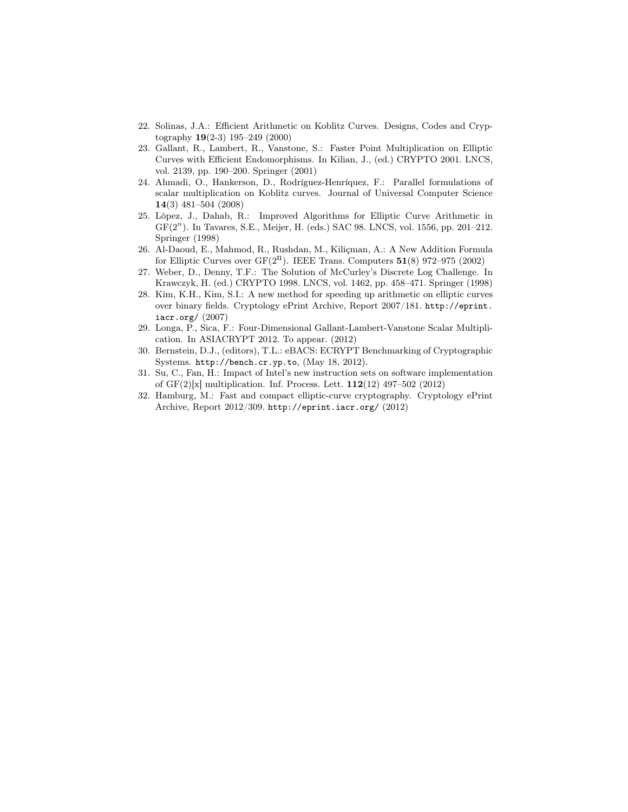- 22. Solinas, J.A.: Efficient Arithmetic on Koblitz Curves. Designs, Codes and Cryptography 19(2-3) 195–249 (2000)
- 23. Gallant, R., Lambert, R., Vanstone, S.: Faster Point Multiplication on Elliptic Curves with Efficient Endomorphisms. In Kilian, J., (ed.) CRYPTO 2001. LNCS, vol. 2139, pp. 190–200. Springer (2001)
- 24. Ahmadi, O., Hankerson, D., Rodríguez-Henríquez, F.: Parallel formulations of scalar multiplication on Koblitz curves. Journal of Universal Computer Science 14(3) 481–504 (2008)
- 25. López, J., Dahab, R.: Improved Algorithms for Elliptic Curve Arithmetic in GF(2<sup>n</sup> ). In Tavares, S.E., Meijer, H. (eds.) SAC 98. LNCS, vol. 1556, pp. 201–212. Springer (1998)
- 26. Al-Daoud, E., Mahmod, R., Rushdan, M., Kiliçman, A.: A New Addition Formula for Elliptic Curves over  $GF(2^n)$ . IEEE Trans. Computers 51(8) 972–975 (2002)
- 27. Weber, D., Denny, T.F.: The Solution of McCurley's Discrete Log Challenge. In Krawczyk, H. (ed.) CRYPTO 1998. LNCS, vol. 1462, pp. 458–471. Springer (1998)
- 28. Kim, K.H., Kim, S.I.: A new method for speeding up arithmetic on elliptic curves over binary fields. Cryptology ePrint Archive, Report 2007/181. http://eprint. iacr.org/ (2007)
- 29. Longa, P., Sica, F.: Four-Dimensional Gallant-Lambert-Vanstone Scalar Multiplication. In ASIACRYPT 2012. To appear. (2012)
- 30. Bernstein, D.J., (editors), T.L.: eBACS: ECRYPT Benchmarking of Cryptographic Systems. http://bench.cr.yp.to, (May 18, 2012).
- 31. Su, C., Fan, H.: Impact of Intel's new instruction sets on software implementation of  $GF(2)[x]$  multiplication. Inf. Process. Lett.  $112(12)$  497–502 (2012)
- 32. Hamburg, M.: Fast and compact elliptic-curve cryptography. Cryptology ePrint Archive, Report 2012/309. http://eprint.iacr.org/ (2012)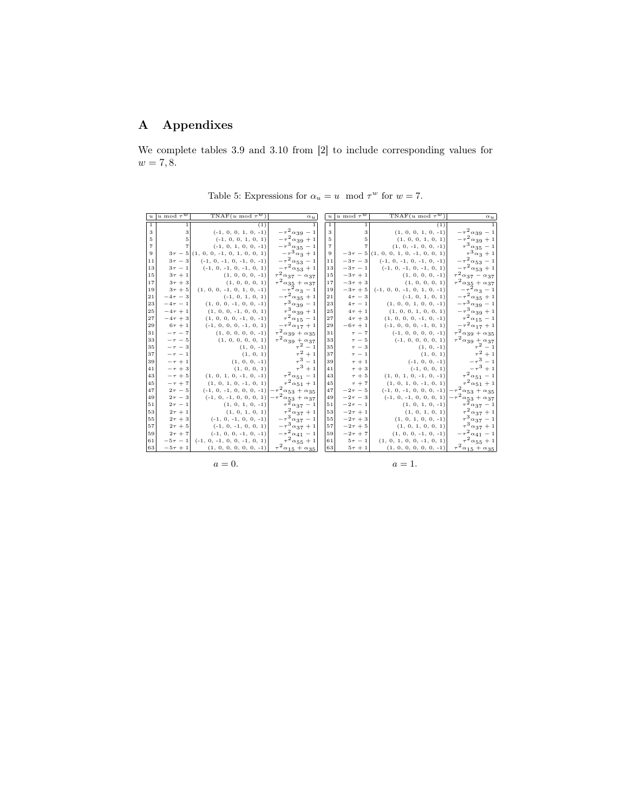# A Appendixes

We complete tables 3.9 and 3.10 from [2] to include corresponding values for  $w = 7, 8.$ 

| $\boldsymbol{u}$ | $ u \bmod \tau^w $ | $TNAF(u \mod \tau^w)$                   | $\alpha_{\,u}$                                           | $\boldsymbol{u}$ | u mod $\tau^w$    | $TNAF(u \mod \tau^w)$                    | $\alpha_u$                                  |
|------------------|--------------------|-----------------------------------------|----------------------------------------------------------|------------------|-------------------|------------------------------------------|---------------------------------------------|
| $\mathbf{1}$     | 1                  | (1)                                     |                                                          | 1                | $\mathbf{1}$      | (1)                                      | $\mathbf{1}$                                |
| 3                | 3                  | $(-1, 0, 0, 1, 0, -1)$                  | $-\,\tau^2\,\alpha_{39}\,-\,1$                           | 3                | 3                 | $(1, 0, 0, 1, 0, -1)$                    | $-\tau^2\alpha_{39}-1$                      |
| 5                | 5                  | $(-1, 0, 0, 1, 0, 1)$                   | $-\tau^2\alpha_{39}+1$                                   | 5                | 5 <sup>1</sup>    | (1, 0, 0, 1, 0, 1)                       | $-\tau^2\alpha_{39}+1$                      |
| $\overline{7}$   | $\overline{7}$     | $(-1, 0, 1, 0, 0, -1)$                  | $-\tau^3 \alpha_{35} - 1$                                | $\overline{7}$   |                   | $(1, 0, -1, 0, 0, -1)$                   | $\tau^3\alpha_{35} = 1$                     |
| 9                |                    | $3\tau - 5(1, 0, 0, -1, 0, 1, 0, 0, 1)$ | $-\tau^3\alpha_3^2+1$                                    | 9                |                   | $-3\tau - 5(1, 0, 0, 1, 0, -1, 0, 0, 1)$ | $\tau^3\alpha_3+1$                          |
| 11               | $3\tau-3$          | $(-1, 0, -1, 0, -1, 0, -1)$             | $-\,\tau^{\,2}\,\alpha_{\,\mathrm{5}\,\mathrm{3}}\,-\,1$ | 11               | $-3\tau-3$        | $(-1, 0, -1, 0, -1, 0, -1)$              | $-\tau^2\alpha_{53} - 1$                    |
| 13               | $3\tau - 1$        | $(-1, 0, -1, 0, -1, 0, 1)$              | $-\tau^2 \alpha_{53} + 1$                                | 13               | $-3\tau - 1$      | $(-1, 0, -1, 0, -1, 0, 1)$               | $-\tau^2\alpha_{53}+1$                      |
| 15               | $3\tau + 1$        | $(1, 0, 0, 0, -1)$                      | $\tau_{.}^{2}\alpha_{37} - \alpha_{37}$                  | 15               | $-3\tau + 1$      | $(1, 0, 0, 0, -1)$                       | $\tau^2\alpha_{37}-\alpha_{37}$             |
| 17               | $3\tau+3$          | (1, 0, 0, 0, 1)                         | $\tau^2 \alpha_{35} + \alpha_{37}$                       | 17               | $-3\tau+3$        | (1, 0, 0, 0, 1)                          | $\tau^2 \alpha_{35} + \alpha_{37}$          |
| 19               | $3\tau + 5$        | $(1, 0, 0, -1, 0, 1, 0, -1)$            | $-\tau^2\alpha_3-1$                                      | 19               | $-3\tau+5$        | $(-1, 0, 0, -1, 0, 1, 0, -1)$            | $-\tau^2\alpha_3-1$                         |
| 21               | $-4\tau - 3$       | $(-1, 0, 1, 0, 1)$                      | $-\tau^2\alpha_{35}+1$                                   | 21               | $4\tau-3$         | $(-1, 0, 1, 0, 1)$                       | $-\tau^2\alpha_{35}+1$                      |
| 23               | $-4\tau - 1$       | $(1, 0, 0, -1, 0, 0, -1)$               | $\tau^3 \alpha_{39} - 1$                                 | 23               | $4\tau - 1$       | $(1, 0, 0, 1, 0, 0, -1)$                 | $-\tau^3\alpha_{39} = 1$                    |
| 25               | $-4\tau + 1$       | $(1, 0, 0, -1, 0, 0, 1)$                | $\tau^3\alpha_{39}+1$                                    | 25               | $4\tau+1$         | (1, 0, 0, 1, 0, 0, 1)                    | $-\tau^3\alpha_{39}+1$                      |
| 27               | $-4\tau + 3$       | $(1, 0, 0, 0, -1, 0, -1)$               | $\tau^2 \alpha_{15} - 1$                                 | 27               | $4\tau+3$         | $(1, 0, 0, 0, -1, 0, -1)$                | $\tau^2\alpha_{15} - 1$                     |
| 29               | $6\tau + 1$        | $(-1, 0, 0, 0, -1, 0, 1)$               | $-\tau^2\alpha_{17}+1$                                   | 29               | $-6\tau + 1$      | $(-1, 0, 0, 0, -1, 0, 1)$                | $-\tau^2\alpha_{17}+1$                      |
| 31               | $-\tau - 7$        | $(1, 0, 0, 0, 0, -1)$                   | $\tau^2 \alpha_{39} + \alpha_{35}$                       | 31               | $\tau - 7$        | $(-1, 0, 0, 0, 0, -1)$                   | $\tau^2 \alpha_{39} + \alpha_{35}$          |
| 33               | $-\tau - 5$        | (1, 0, 0, 0, 0, 1)                      | $\tau^2 \alpha_{39} + \alpha_{37}$                       | 33               | $\tau - 5$        | $(-1, 0, 0, 0, 0, 1)$                    | $\tau^2 \alpha_{39} + \alpha_{37}$          |
| 35               | $-\tau - 3$        | $(1, 0, -1)$                            | $\tau^2-1$                                               | 35               | $\tau - 3$        | $(1, 0, -1)$                             | $\tau^2-1$                                  |
| 37               | $-\tau - 1$        | (1, 0, 1)                               | $\tau^2+1$                                               | 37               | $\tau - 1$        | (1, 0, 1)                                | $\tau^2+1$                                  |
| 39               | $-\tau + 1$        | $(1, 0, 0, -1)$                         | $\tau^3-1$                                               | 39               | $\tau + 1$        | $(-1, 0, 0, -1)$                         | $-\tau^3 - 1$                               |
| 41               | $-\tau + 3$        | (1, 0, 0, 1)                            | $\tau^3+1$                                               | 41               | $\tau + 3$        | $(-1, 0, 0, 1)$                          | $-\tau^3 + 1$                               |
| 43               | $-\tau+5$          | $(1, 0, 1, 0, -1, 0, -1)$               | $\tau^2 \alpha_{51} - 1$                                 | 43               | $\tau + 5$        | $(1, 0, 1, 0, -1, 0, -1)$                | $\tau^2 \alpha_{51} - 1$                    |
| 45               | $-\tau + 7$        | $(1, 0, 1, 0, -1, 0, 1)$                | $\tau^2\alpha_{51}+1$                                    | 45               | $\tau + 7$        | $(1, 0, 1, 0, -1, 0, 1)$                 | $\tau^2 \alpha_{51} + 1$                    |
| 47               | $2\tau - 5$        | $(-1, 0, -1, 0, 0, 0, -1)$              | $-\tau^2\alpha_{53}+\alpha_{35}$                         | 47               | $-2\tau - 5$      | $(-1, 0, -1, 0, 0, 0, -1)$               | $-\tau^2\alpha_{53}+\alpha_{35}$            |
| 49               | $2\tau - 3$        | $(-1, 0, -1, 0, 0, 0, 1)$               | $-\tau^2 \alpha_{53} + \alpha_{37}$                      | 49               | $-2\tau-3$        | $(-1, 0, -1, 0, 0, 0, 1)$                | $-\tau^2\alpha_{53} + \alpha_{37}$          |
| 51               | $2\tau - 1$        | $(1, 0, 1, 0, -1)$                      | $\tau^2 \alpha_{37} - 1$                                 | 51               | $-2\tau-1$        | $(1, 0, 1, 0, -1)$                       | $\tau^2 \alpha_{37} - 1$                    |
| 53               | $2\tau + 1$        | (1, 0, 1, 0, 1)                         | $\tau^2 \alpha_{37} + 1$                                 | 53               | $-2\tau + 1$      | (1, 0, 1, 0, 1)                          | $\tau^2 \alpha_{37} + 1$                    |
| 55               | $2\tau+3$          | $(-1, 0, -1, 0, 0, -1)$                 | $-\tau^3 \alpha_{37} - 1$                                | 55               | $-2\tau + 3$      | $(1, 0, 1, 0, 0, -1)$                    | $\tau^3 \alpha_{37} - 1$                    |
| 57               | $2\tau + 5$        | $(-1, 0, -1, 0, 0, 1)$                  | $-\tau^3\alpha_{37}+1$                                   | 57               | $-2\tau + 5$      | (1, 0, 1, 0, 0, 1)                       | $\tau^3\alpha_{37}+1$                       |
| 59               | $2\tau + 7$        | $(-1, 0, 0, -1, 0, -1)$                 | $-\,\tau^{\,2}\,\alpha_{\,4\,1}\,-\,1$                   | 59               | $-2\tau + 7$      | $(1, 0, 0, -1, 0, -1)$                   | $-\,\tau^{\,2}\,\alpha_{\,4\,1}\,-\,1$      |
| 61               | $-5\tau - 1$       | $(-1, 0, -1, 0, 0, -1, 0, 1)$           | $\tau^2 \alpha_{55} + 1$                                 | 61               | $5\tau - 1$       | $(1, 0, 1, 0, 0, -1, 0, 1)$              | $\tau^2 \alpha_{55} + 1$                    |
| 63               | $-5\tau + 1$       | $(1, 0, 0, 0, 0, 0, -1)$                | $\tau_{\frac{\alpha_{15}+\alpha_{35}}{2}}$               | 63               | $5\,\tau$ + $1\,$ | $(1, 0, 0, 0, 0, 0, -1)$                 | $\tau^2\underline{\alpha_{15}+\alpha_{35}}$ |

Table 5: Expressions for  $\alpha_u = u \mod \tau^w$  for  $w = 7$ .

 $a=0.$ 

 $a=1.$